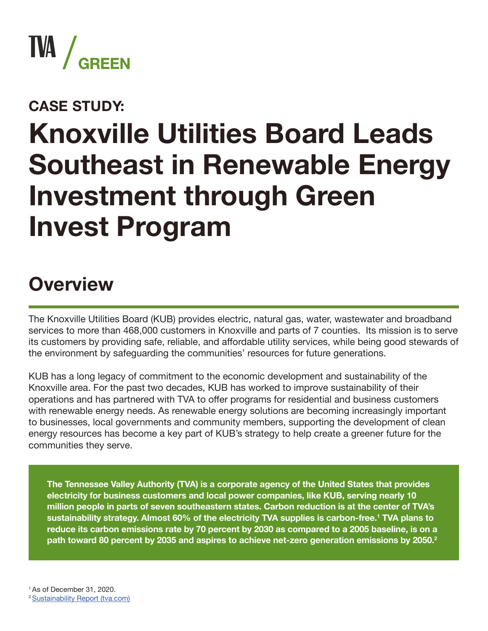

#### **CASE STUDY:**

# **Knoxville Utilities Board Leads Southeast in Renewable Energy Investment through Green Invest Program**

#### **Overview**

The Knoxville Utilities Board (KUB) provides electric, natural gas, water, wastewater and broadband services to more than 468,000 customers in Knoxville and parts of 7 counties. Its mission is to serve its customers by providing safe, reliable, and affordable utility services, while being good stewards of the environment by safeguarding the communities' resources for future generations.

KUB has a long legacy of commitment to the economic development and sustainability of the Knoxville area. For the past two decades, KUB has worked to improve sustainability of their operations and has partnered with TVA to offer programs for residential and business customers with renewable energy needs. As renewable energy solutions are becoming increasingly important to businesses, local governments and community members, supporting the development of clean energy resources has become a key part of KUB's strategy to help create a greener future for the communities they serve.

**The Tennessee Valley Authority (TVA) is a corporate agency of the United States that provides electricity for business customers and local power companies, like KUB, serving nearly 10 million people in parts of seven southeastern states. Carbon reduction is at the center of TVA's sustainability strategy. Almost 60% of the electricity TVA supplies is carbon-free.1 TVA plans to reduce its carbon emissions rate by 70 percent by 2030 as compared to a 2005 baseline, is on a path toward 80 percent by 2035 and aspires to achieve net-zero generation emissions by 2050.2**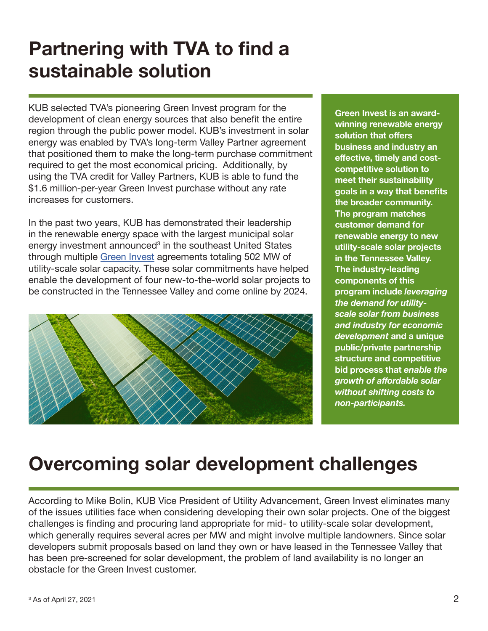#### **Partnering with TVA to find a sustainable solution**

KUB selected TVA's pioneering Green Invest program for the development of clean energy sources that also benefit the entire region through the public power model. KUB's investment in solar energy was enabled by TVA's long-term Valley Partner agreement that positioned them to make the long-term purchase commitment required to get the most economical pricing. Additionally, by using the TVA credit for Valley Partners, KUB is able to fund the \$1.6 million-per-year Green Invest purchase without any rate increases for customers.

In the past two years, KUB has demonstrated their leadership in the renewable energy space with the largest municipal solar energy investment announced<sup>3</sup> in the southeast United States through multiple [Green Invest](https://www.tva.com/energy/valley-renewable-energy/green-switch/green-invest) agreements totaling 502 MW of utility-scale solar capacity. These solar commitments have helped enable the development of four new-to-the-world solar projects to be constructed in the Tennessee Valley and come online by 2024.



**Green Invest is an awardwinning renewable energy solution that offers business and industry an effective, timely and costcompetitive solution to meet their sustainability goals in a way that benefits the broader community. The program matches customer demand for renewable energy to new utility-scale solar projects in the Tennessee Valley. The industry-leading components of this program include** *leveraging the demand for utilityscale solar from business and industry for economic development* **and a unique public/private partnership structure and competitive bid process that** *enable the growth of affordable solar without shifting costs to non-participants.*

#### **Overcoming solar development challenges**

According to Mike Bolin, KUB Vice President of Utility Advancement, Green Invest eliminates many of the issues utilities face when considering developing their own solar projects. One of the biggest challenges is finding and procuring land appropriate for mid- to utility-scale solar development, which generally requires several acres per MW and might involve multiple landowners. Since solar developers submit proposals based on land they own or have leased in the Tennessee Valley that has been pre-screened for solar development, the problem of land availability is no longer an obstacle for the Green Invest customer.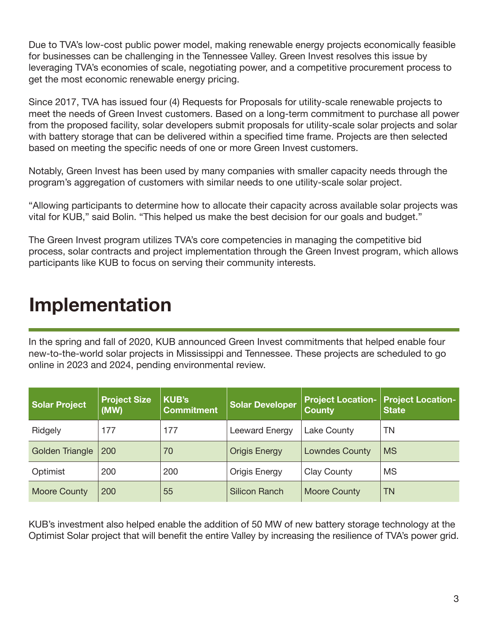Due to TVA's low-cost public power model, making renewable energy projects economically feasible for businesses can be challenging in the Tennessee Valley. Green Invest resolves this issue by leveraging TVA's economies of scale, negotiating power, and a competitive procurement process to get the most economic renewable energy pricing.

Since 2017, TVA has issued four (4) Requests for Proposals for utility-scale renewable projects to meet the needs of Green Invest customers. Based on a long-term commitment to purchase all power from the proposed facility, solar developers submit proposals for utility-scale solar projects and solar with battery storage that can be delivered within a specified time frame. Projects are then selected based on meeting the specific needs of one or more Green Invest customers.

Notably, Green Invest has been used by many companies with smaller capacity needs through the program's aggregation of customers with similar needs to one utility-scale solar project.

"Allowing participants to determine how to allocate their capacity across available solar projects was vital for KUB," said Bolin. "This helped us make the best decision for our goals and budget."

The Green Invest program utilizes TVA's core competencies in managing the competitive bid process, solar contracts and project implementation through the Green Invest program, which allows participants like KUB to focus on serving their community interests.

#### **Implementation**

In the spring and fall of 2020, KUB announced Green Invest commitments that helped enable four new-to-the-world solar projects in Mississippi and Tennessee. These projects are scheduled to go online in 2023 and 2024, pending environmental review.

| <b>Solar Project</b> | <b>Project Size</b><br>(MW) | <b>KUB's</b><br><b>Commitment</b> | <b>Solar Developer</b> | <b>County</b>         | <b>Project Location- Project Location-</b><br><b>State</b> |
|----------------------|-----------------------------|-----------------------------------|------------------------|-----------------------|------------------------------------------------------------|
| Ridgely              | 177                         | 177                               | Leeward Energy         | Lake County           | TN                                                         |
| Golden Triangle      | 200                         | 70                                | <b>Origis Energy</b>   | <b>Lowndes County</b> | <b>MS</b>                                                  |
| Optimist             | 200                         | 200                               | Origis Energy          | <b>Clay County</b>    | <b>MS</b>                                                  |
| Moore County         | 200                         | 55                                | <b>Silicon Ranch</b>   | <b>Moore County</b>   | <b>TN</b>                                                  |

KUB's investment also helped enable the addition of 50 MW of new battery storage technology at the Optimist Solar project that will benefit the entire Valley by increasing the resilience of TVA's power grid.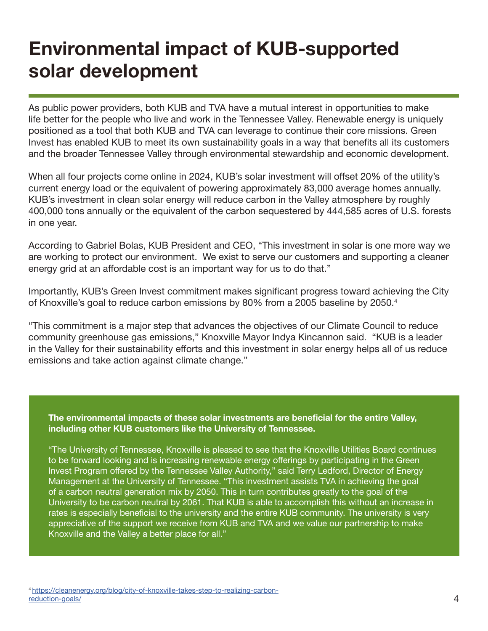#### **Environmental impact of KUB-supported solar development**

As public power providers, both KUB and TVA have a mutual interest in opportunities to make life better for the people who live and work in the Tennessee Valley. Renewable energy is uniquely positioned as a tool that both KUB and TVA can leverage to continue their core missions. Green Invest has enabled KUB to meet its own sustainability goals in a way that benefits all its customers and the broader Tennessee Valley through environmental stewardship and economic development.

When all four projects come online in 2024, KUB's solar investment will offset 20% of the utility's current energy load or the equivalent of powering approximately 83,000 average homes annually. KUB's investment in clean solar energy will reduce carbon in the Valley atmosphere by roughly 400,000 tons annually or the equivalent of the carbon sequestered by 444,585 acres of U.S. forests in one year.

According to Gabriel Bolas, KUB President and CEO, "This investment in solar is one more way we are working to protect our environment. We exist to serve our customers and supporting a cleaner energy grid at an affordable cost is an important way for us to do that."

Importantly, KUB's Green Invest commitment makes significant progress toward achieving the City of Knoxville's goal to reduce carbon emissions by 80% from a 2005 baseline by 2050.<sup>4</sup>

"This commitment is a major step that advances the objectives of our Climate Council to reduce community greenhouse gas emissions," Knoxville Mayor Indya Kincannon said. "KUB is a leader in the Valley for their sustainability efforts and this investment in solar energy helps all of us reduce emissions and take action against climate change."

**The environmental impacts of these solar investments are beneficial for the entire Valley, including other KUB customers like the University of Tennessee.** 

"The University of Tennessee, Knoxville is pleased to see that the Knoxville Utilities Board continues to be forward looking and is increasing renewable energy offerings by participating in the Green Invest Program offered by the Tennessee Valley Authority," said Terry Ledford, Director of Energy Management at the University of Tennessee. "This investment assists TVA in achieving the goal of a carbon neutral generation mix by 2050. This in turn contributes greatly to the goal of the University to be carbon neutral by 2061. That KUB is able to accomplish this without an increase in rates is especially beneficial to the university and the entire KUB community. The university is very appreciative of the support we receive from KUB and TVA and we value our partnership to make Knoxville and the Valley a better place for all."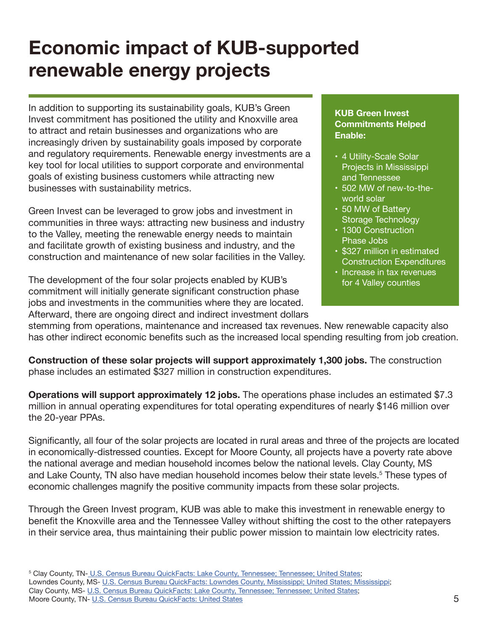#### **Economic impact of KUB-supported renewable energy projects**

In addition to supporting its sustainability goals, KUB's Green Invest commitment has positioned the utility and Knoxville area to attract and retain businesses and organizations who are increasingly driven by sustainability goals imposed by corporate and regulatory requirements. Renewable energy investments are a key tool for local utilities to support corporate and environmental goals of existing business customers while attracting new businesses with sustainability metrics.

Green Invest can be leveraged to grow jobs and investment in communities in three ways: attracting new business and industry to the Valley, meeting the renewable energy needs to maintain and facilitate growth of existing business and industry, and the construction and maintenance of new solar facilities in the Valley.

The development of the four solar projects enabled by KUB's commitment will initially generate significant construction phase jobs and investments in the communities where they are located. Afterward, there are ongoing direct and indirect investment dollars

#### **KUB Green Invest Commitments Helped Enable:**

- 4 Utility-Scale Solar Projects in Mississippi and Tennessee
- 502 MW of new-to-theworld solar
- 50 MW of Battery Storage Technology
- 1300 Construction Phase Jobs
- \$327 million in estimated Construction Expenditures
- Increase in tax revenues for 4 Valley counties

stemming from operations, maintenance and increased tax revenues. New renewable capacity also has other indirect economic benefits such as the increased local spending resulting from job creation.

**Construction of these solar projects will support approximately 1,300 jobs.** The construction phase includes an estimated \$327 million in construction expenditures.

**Operations will support approximately 12 jobs.** The operations phase includes an estimated \$7.3 million in annual operating expenditures for total operating expenditures of nearly \$146 million over the 20-year PPAs.

Significantly, all four of the solar projects are located in rural areas and three of the projects are located in economically-distressed counties. Except for Moore County, all projects have a poverty rate above the national average and median household incomes below the national levels. Clay County, MS and Lake County, TN also have median household incomes below their state levels.<sup>5</sup> These types of economic challenges magnify the positive community impacts from these solar projects.

Through the Green Invest program, KUB was able to make this investment in renewable energy to benefit the Knoxville area and the Tennessee Valley without shifting the cost to the other ratepayers in their service area, thus maintaining their public power mission to maintain low electricity rates.

<sup>5</sup> [Clay County, TN- U.S. Census Bureau QuickFacts: Lake County, Tennessee; Tennessee; United States](https://www.census.gov/quickfacts/fact/table/lakecountytennessee,TN,US/PST045219);

Lowndes County, MS- [U.S. Census Bureau QuickFacts: Lowndes County, Mississippi; United States; Mississippi](https://www.census.gov/quickfacts/fact/table/lowndescountymississippi,US,MS/PST045219); Clay County, MS- [U.S. Census Bureau QuickFacts: Lake County, Tennessee; Tennessee; United States;](https://www.census.gov/quickfacts/fact/table/claycountymississippi,MS,US/PST045219) Moore County, TN- [U.S. Census Bureau QuickFacts: United States](https://www.census.gov/quickfacts/fact/table/moorecountytennessee,TN,US/PST045219) 5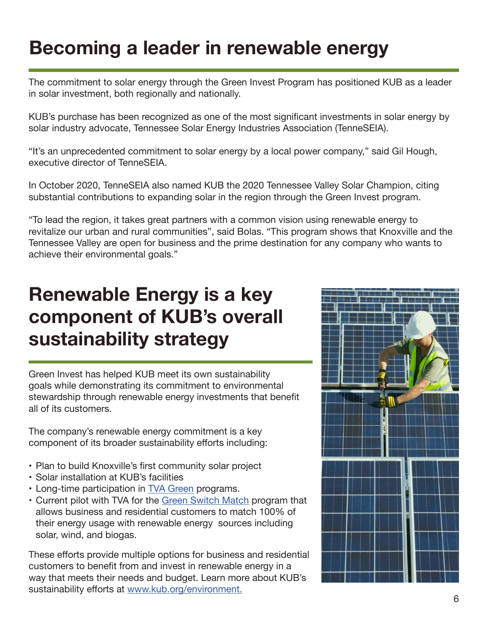#### **Becoming a leader in renewable energy**

The commitment to solar energy through the Green Invest Program has positioned KUB as a leader in solar investment, both regionally and nationally.

KUB's purchase has been recognized as one of the most significant investments in solar energy by solar industry advocate, Tennessee Solar Energy Industries Association (TenneSEIA).

"It's an unprecedented commitment to solar energy by a local power company," said Gil Hough, executive director of TenneSEIA.

In October 2020, TenneSEIA also named KUB the 2020 Tennessee Valley Solar Champion, citing substantial contributions to expanding solar in the region through the Green Invest program.

"To lead the region, it takes great partners with a common vision using renewable energy to revitalize our urban and rural communities", said Bolas. "This program shows that Knoxville and the Tennessee Valley are open for business and the prime destination for any company who wants to achieve their environmental goals."

#### **Renewable Energy is a key component of KUB's overall sustainability strategy**

Green Invest has helped KUB meet its own sustainability goals while demonstrating its commitment to environmental stewardship through renewable energy investments that benefit all of its customers.

The company's renewable energy commitment is a key component of its broader sustainability efforts including:

- Plan to build Knoxville's first community solar project
- Solar installation at KUB's facilities
- Long-time participation in [TVA Green](https://www.tva.com/energy/valley-renewable-energy/) programs.
- Current pilot with TVA for the [Green Switch Match](https://www.kub.org/green-switch-match) program that allows business and residential customers to match 100% of their energy usage with renewable energy sources including solar, wind, and biogas.

These efforts provide multiple options for business and residential customers to benefit from and invest in renewable energy in a way that meets their needs and budget. Learn more about KUB's sustainability efforts at [www.kub.org/environment.](http://www.kub.org/environment.)